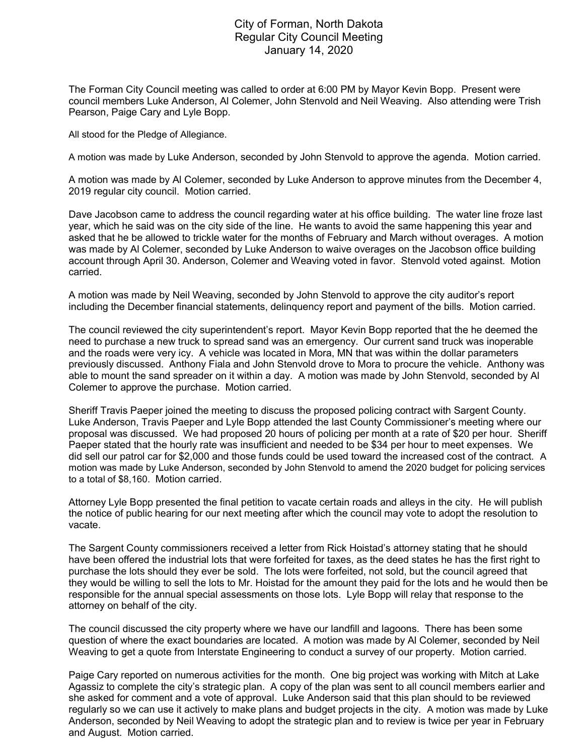## City of Forman, North Dakota Regular City Council Meeting January 14, 2020

The Forman City Council meeting was called to order at 6:00 PM by Mayor Kevin Bopp. Present were council members Luke Anderson, Al Colemer, John Stenvold and Neil Weaving. Also attending were Trish Pearson, Paige Cary and Lyle Bopp.

All stood for the Pledge of Allegiance.

A motion was made by Luke Anderson, seconded by John Stenvold to approve the agenda. Motion carried.

A motion was made by Al Colemer, seconded by Luke Anderson to approve minutes from the December 4, 2019 regular city council. Motion carried.

Dave Jacobson came to address the council regarding water at his office building. The water line froze last year, which he said was on the city side of the line. He wants to avoid the same happening this year and asked that he be allowed to trickle water for the months of February and March without overages. A motion was made by Al Colemer, seconded by Luke Anderson to waive overages on the Jacobson office building account through April 30. Anderson, Colemer and Weaving voted in favor. Stenvold voted against. Motion carried.

A motion was made by Neil Weaving, seconded by John Stenvold to approve the city auditor's report including the December financial statements, delinquency report and payment of the bills. Motion carried.

The council reviewed the city superintendent's report. Mayor Kevin Bopp reported that the he deemed the need to purchase a new truck to spread sand was an emergency. Our current sand truck was inoperable and the roads were very icy. A vehicle was located in Mora, MN that was within the dollar parameters previously discussed. Anthony Fiala and John Stenvold drove to Mora to procure the vehicle. Anthony was able to mount the sand spreader on it within a day. A motion was made by John Stenvold, seconded by Al Colemer to approve the purchase. Motion carried.

Sheriff Travis Paeper joined the meeting to discuss the proposed policing contract with Sargent County. Luke Anderson, Travis Paeper and Lyle Bopp attended the last County Commissioner's meeting where our proposal was discussed. We had proposed 20 hours of policing per month at a rate of \$20 per hour. Sheriff Paeper stated that the hourly rate was insufficient and needed to be \$34 per hour to meet expenses. We did sell our patrol car for \$2,000 and those funds could be used toward the increased cost of the contract. A motion was made by Luke Anderson, seconded by John Stenvold to amend the 2020 budget for policing services to a total of \$8,160. Motion carried.

Attorney Lyle Bopp presented the final petition to vacate certain roads and alleys in the city. He will publish the notice of public hearing for our next meeting after which the council may vote to adopt the resolution to vacate.

The Sargent County commissioners received a letter from Rick Hoistad's attorney stating that he should have been offered the industrial lots that were forfeited for taxes, as the deed states he has the first right to purchase the lots should they ever be sold. The lots were forfeited, not sold, but the council agreed that they would be willing to sell the lots to Mr. Hoistad for the amount they paid for the lots and he would then be responsible for the annual special assessments on those lots. Lyle Bopp will relay that response to the attorney on behalf of the city.

The council discussed the city property where we have our landfill and lagoons. There has been some question of where the exact boundaries are located. A motion was made by Al Colemer, seconded by Neil Weaving to get a quote from Interstate Engineering to conduct a survey of our property. Motion carried.

Paige Cary reported on numerous activities for the month. One big project was working with Mitch at Lake Agassiz to complete the city's strategic plan. A copy of the plan was sent to all council members earlier and she asked for comment and a vote of approval. Luke Anderson said that this plan should to be reviewed regularly so we can use it actively to make plans and budget projects in the city. A motion was made by Luke Anderson, seconded by Neil Weaving to adopt the strategic plan and to review is twice per year in February and August. Motion carried.